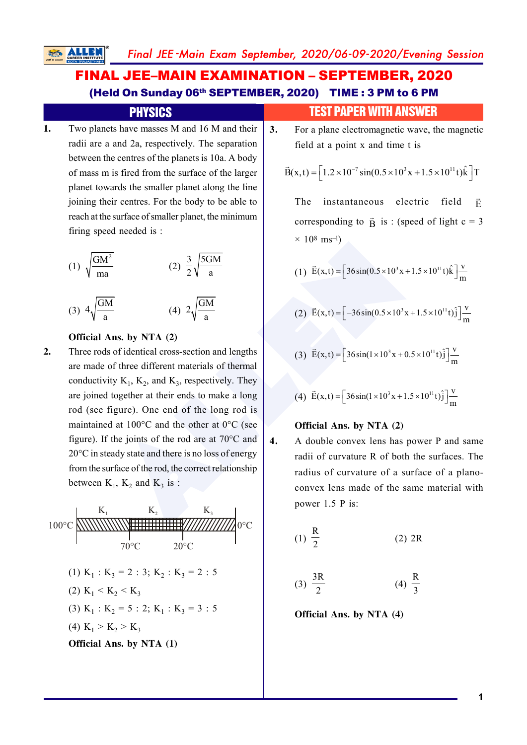# **FINAL JEE-MAIN EXAMINATION - SEPTEMBER, 2020** (Held On Sunday 06<sup>th</sup> SEPTEMBER, 2020) TIME: 3 PM to 6 PM

## **PHYSICS**

Two planets have masses M and 16 M and their 1. radii are a and 2a, respectively. The separation between the centres of the planets is 10a. A body of mass m is fired from the surface of the larger planet towards the smaller planet along the line joining their centres. For the body to be able to reach at the surface of smaller planet, the minimum firing speed needed is:

(1) 
$$
\sqrt{\frac{GM^2}{ma}}
$$
 (2)  $\frac{3}{2}\sqrt{\frac{5GM}{a}}$   
(3)  $4\sqrt{\frac{GM}{a}}$  (4)  $2\sqrt{\frac{GM}{a}}$ 

#### Official Ans. by NTA (2)

 $2.$ Three rods of identical cross-section and lengths are made of three different materials of thermal conductivity  $K_1$ ,  $K_2$ , and  $K_3$ , respectively. They are joined together at their ends to make a long rod (see figure). One end of the long rod is maintained at  $100^{\circ}$ C and the other at  $0^{\circ}$ C (see figure). If the joints of the rod are at  $70^{\circ}$ C and  $20^{\circ}$ C in steady state and there is no loss of energy from the surface of the rod, the correct relationship between  $K_1$ ,  $K_2$  and  $K_3$  is:

 $100^{\circ}$ C (1)  $K_1 : K_3 = 2 : 3; K_2 : K_3 = 2 : 5$ (2)  $K_1 < K_2 < K_3$ (3)  $K_1 : K_2 = 5 : 2; K_1 : K_3 = 3 : 5$ (4)  $K_1 > K_2 > K_3$ Official Ans. by NTA (1)

## **TEST PAPER WITH ANSWER**

 $3.$ For a plane electromagnetic wave, the magnetic field at a point x and time t is

$$
\vec{B}(x,t) = \left[1.2 \times 10^{-7} \sin(0.5 \times 10^{3} x + 1.5 \times 10^{11} t)\hat{k}\right]T
$$

The instantaneous electric field Ē corresponding to  $\vec{B}$  is: (speed of light c = 3)  $\times$  10<sup>8</sup> ms<sup>-1</sup>)

(1) 
$$
\vec{E}(x,t) = \left[36\sin(0.5 \times 10^3 x + 1.5 \times 10^{11} t)\hat{k}\right]\frac{V}{m}
$$

(2) 
$$
\vec{E}(x,t) = \left[ -36\sin(0.5 \times 10^3 x + 1.5 \times 10^{11} t) \hat{j} \right] \frac{v}{m}
$$

(3) 
$$
\vec{E}(x,t) = \left[36\sin(1 \times 10^3 x + 0.5 \times 10^{11} t)\hat{j}\right] \frac{V}{m}
$$

(4) 
$$
\vec{E}(x,t) = \left[36\sin(1 \times 10^3 x + 1.5 \times 10^{11} t)\hat{j}\right] \frac{V}{m}
$$

#### Official Ans. by NTA (2)

 $\overline{4}$ .

A double convex lens has power P and same radii of curvature R of both the surfaces. The radius of curvature of a surface of a planoconvex lens made of the same material with power 1.5 P is:

$$
(1) \frac{R}{2} \tag{2) 2R}
$$

$$
(3) \frac{3R}{2} \qquad (4) \frac{R}{3}
$$

Official Ans. by NTA (4)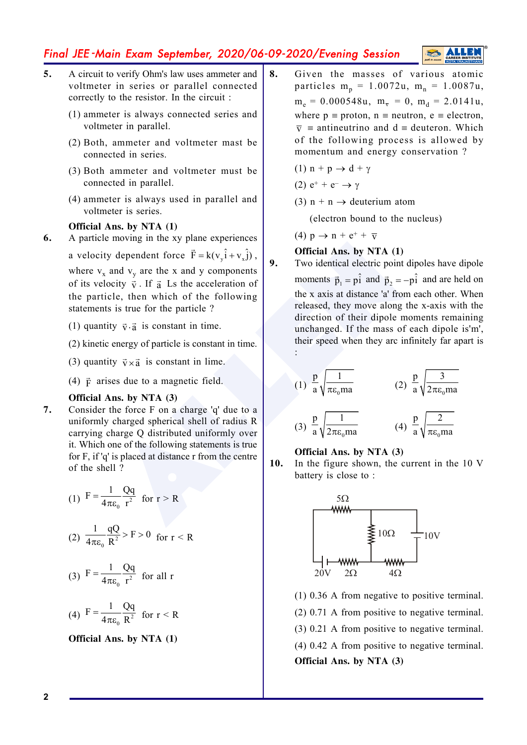## Final JEE -Main Exam September, 2020/06-09-2020/Evening Session



- **5.** A circuit to verify Ohm's law uses ammeter and voltmeter in series or parallel connected correctly to the resistor. In the circuit :
	- (1) ammeter is always connected series and voltmeter in parallel.
	- (2) Both, ammeter and voltmeter mast be connected in series.
	- (3) Both ammeter and voltmeter must be connected in parallel.
	- (4) ammeter is always used in parallel and voltmeter is series.

#### **Official Ans. by NTA (1)**

**6.** A particle moving in the xy plane experiences

a velocity dependent force  $\vec{F} = k(v_y \hat{i} + v_x \hat{j})$ , where  $v_x$  and  $v_y$  are the x and y components of its velocity  $\vec{v}$ . If  $\vec{a}$  Ls the acceleration of the particle, then which of the following statements is true for the particle ?

- (1) quantity  $\vec{v} \cdot \vec{a}$  is constant in time.
- (2) kinetic energy of particle is constant in time.
- (3) quantity  $\vec{v} \times \vec{a}$  is constant in lime.
- (4)  $\vec{F}$  arises due to a magnetic field.

#### **Official Ans. by NTA (3)**

**7.** Consider the force F on a charge 'q' due to a uniformly charged spherical shell of radius R carrying charge Q distributed uniformly over it. Which one of the following statements is true for F, if 'q' is placed at distance r from the centre of the shell ?

(1) 
$$
F = \frac{1}{4\pi\varepsilon_0} \frac{Qq}{r^2}
$$
 for  $r > R$ 

(2) 
$$
\frac{1}{4\pi\epsilon_0} \frac{qQ}{R^2} > F > 0
$$
 for  $r < R$ 

(3) 
$$
F = \frac{1}{4\pi\varepsilon_0} \frac{Qq}{r^2}
$$
 for all r

$$
(4) F = \frac{1}{4\pi\varepsilon_0} \frac{Qq}{R^2} \text{ for } r < R
$$

**Official Ans. by NTA (1)**

**8.** Given the masses of various atomic particles  $m_p = 1.0072u$ ,  $m_n = 1.0087u$ ,  $m_e = 0.000548u$ ,  $m_{\overline{v}} = 0$ ,  $m_d = 2.0141u$ , where  $p \equiv$  proton,  $n \equiv$  neutron,  $e \equiv$  electron,  $\bar{v}$  = antineutrino and d = deuteron. Which of the following process is allowed by momentum and energy conservation ?

(1) 
$$
n + p \rightarrow d + \gamma
$$

(2) 
$$
e^+ + e^- \rightarrow \gamma
$$

(3)  $n + n \rightarrow$  deuterium atom

(electron bound to the nucleus)

(4)  $p \rightarrow n + e^+ + \overline{v}$ 

#### **Official Ans. by NTA (1)**

Example the x and y are the x and y and  $v_3$  are the same of the same of the same of the same of  $\vec{p}_1 = p_1^2$  and  $\vec{p}_2 = p_2^2$  and  $\vec{p}_3 = p_3^2$  and  $\vec{p}_2 = p_3^2$  and  $\vec{p}_3 = p_1^2$  and  $\vec{p}_2 = p_2^2$  are the x axi **9.** Two identical electric point dipoles have dipole moments  $\vec{p}_1 = p\hat{i}$  and  $\vec{p}_2 = -p\hat{i}$  and are held on the x axis at distance 'a' from each other. When released, they move along the x-axis with the direction of their dipole moments remaining unchanged. If the mass of each dipole is'm', their speed when they arc infinitely far apart is :

$$
(1) \frac{p}{a} \sqrt{\frac{1}{\pi \varepsilon_0 m a}}
$$
 
$$
(2) \frac{p}{a} \sqrt{\frac{3}{2 \pi \varepsilon_0 m a}}
$$

$$
(3) \frac{p}{a} \sqrt{\frac{1}{2\pi\varepsilon_0 m a}} \qquad (4) \frac{p}{a} \sqrt{\frac{2}{\pi\varepsilon_0 m a}}
$$

#### **Official Ans. by NTA (3)**

**10.** In the figure shown, the current in the 10 V battery is close to :



(1) 0.36 A from negative to positive terminal. (2) 0.71 A from positive to negative terminal. (3) 0.21 A from positive to negative terminal. (4) 0.42 A from positive to negative terminal. **Official Ans. by NTA (3)**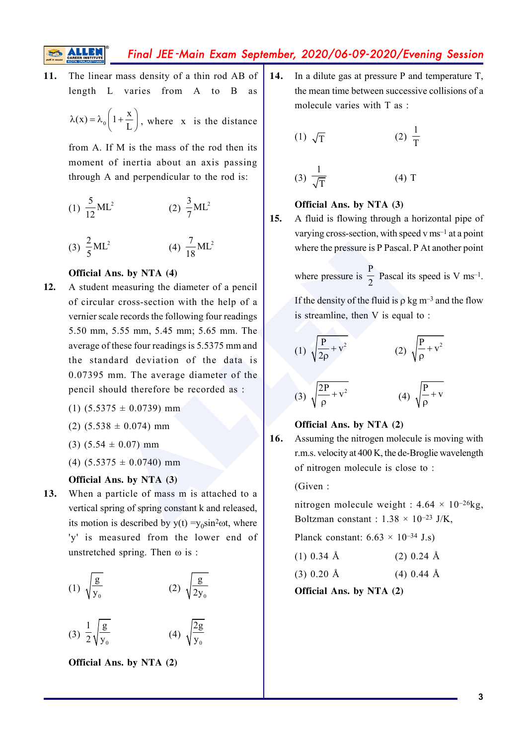Final JEE -Main Exam September, 2020/06-09-2020/Evening Session

- **11.** The linear mass density of a thin rod AB of length L varies from A to B as
	- $\lambda(x) = \lambda_0 \left( 1 + \frac{x}{L} \right),$  $\overline{L}$ , where x is the distance

from A. If M is the mass of the rod then its moment of inertia about an axis passing through A and perpendicular to the rod is:

(1) 
$$
\frac{5}{12}ML^2
$$
 (2)  $\frac{3}{7}ML^2$   
(3)  $\frac{2}{5}ML^2$  (4)  $\frac{7}{18}ML^2$ 

#### **Official Ans. by NTA (4)**

- <sup>2</sup><br> **Ans. by NTA (4)**<br> **Ans. by NTA (4)**<br> **Ans. by NTA (4)**<br> **Ans. by NTA (4)**<br> **Ans. by NTA (4)**<br> **Ans. by NTA (4)**<br> **EVALU** THE TORIGATE TORIGATE THE THE THE SALLED THAT AND THE SALLED THAT AND THE SALLED THAT ASSEM TH **12.** A student measuring the diameter of a pencil of circular cross-section with the help of a vernier scale records the following four readings 5.50 mm, 5.55 mm, 5.45 mm; 5.65 mm. The average of these four readings is 5.5375 mm and the standard deviation of the data is 0.07395 mm. The average diameter of the pencil should therefore be recorded as :
	- $(1)$  (5.5375  $\pm$  0.0739) mm
	- $(2)$  (5.538  $\pm$  0.074) mm
	- $(3)$   $(5.54 \pm 0.07)$  mm
	- $(4)$   $(5.5375 \pm 0.0740)$  mm

#### **Official Ans. by NTA (3)**

**13.** When a particle of mass m is attached to a vertical spring of spring constant k and released, its motion is described by  $y(t) = y_0 \sin^2 \omega t$ , where 'y' is measured from the lower end of unstretched spring. Then  $\omega$  is :

(1) 
$$
\sqrt{\frac{g}{y_0}}
$$
 (2)  $\sqrt{\frac{g}{2y_0}}$   
(3)  $\frac{1}{2}\sqrt{\frac{g}{y_0}}$  (4)  $\sqrt{\frac{2g}{y_0}}$ 

**Official Ans. by NTA (2)**

**14.** In a dilute gas at pressure P and temperature T, the mean time between successive collisions of a molecule varies with T as  $\cdot$ 

(1) 
$$
\sqrt{T}
$$
 (2)  $\frac{1}{T}$ 

$$
(3) \frac{1}{\sqrt{T}}
$$
 (4) T

#### **Official Ans. by NTA (3)**

**15.** A fluid is flowing through a horizontal pipe of varying cross-section, with speed v ms–1 at a point where the pressure is P Pascal. P At another point

where pressure is  $\frac{P}{2}$  Pascal its speed is V ms<sup>-1</sup>.

If the density of the fluid is  $\rho$  kg m<sup>-3</sup> and the flow is streamline, then V is equal to :

(1) 
$$
\sqrt{\frac{P}{2\rho} + v^2}
$$
  
\n(2)  $\sqrt{\frac{P}{\rho} + v^2}$   
\n(3)  $\sqrt{\frac{2P}{\rho} + v^2}$   
\n(4)  $\sqrt{\frac{P}{\rho} + v}$ 

#### **Official Ans. by NTA (2)**

**16.** Assuming the nitrogen molecule is moving with r.m.s. velocity at 400 K, the de-Broglie wavelength of nitrogen molecule is close to :

(Given :

nitrogen molecule weight :  $4.64 \times 10^{-26}$ kg, Boltzman constant :  $1.38 \times 10^{-23}$  J/K,

Planck constant:  $6.63 \times 10^{-34}$  J.s)

| $(1)$ 0.34 Å | $(2)$ 0.24 Å |  |
|--------------|--------------|--|
| $(3)$ 0.20 Å | $(4)$ 0.44 Å |  |

**Official Ans. by NTA (2)**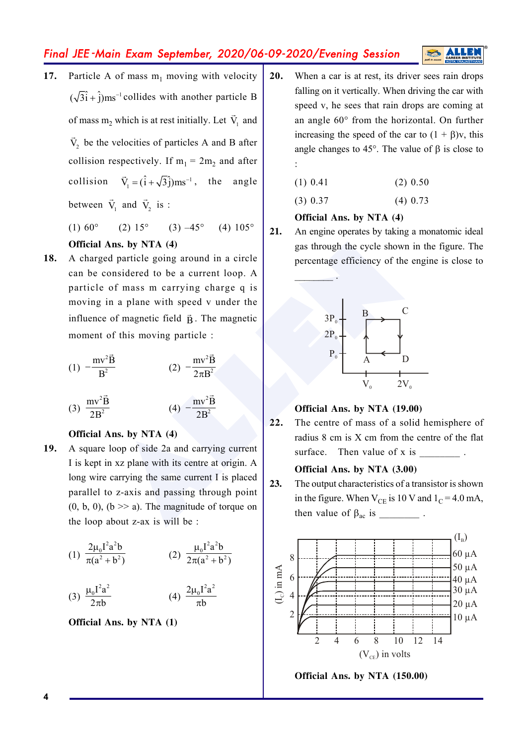## Final JEE -Main Exam September, 2020/06-09-2020/Evening Session

**17.** Particle A of mass  $m_1$  moving with velocity  $(\sqrt{3}i + \hat{j})$ ms<sup>-1</sup> collides with another particle B of mass  $m_2$  which is at rest initially. Let  $\vec{V}_1$  and  $\vec{V}_2$  be the velocities of particles A and B after collision respectively. If  $m_1 = 2m_2$  and after collision  $\vec{V}_1 = (\hat{i} + \sqrt{3}\hat{j})ms^{-1}$ , the angle between  $\vec{V}_1$  and  $\vec{V}_2$  is :

(1)  $60^{\circ}$  (2)  $15^{\circ}$  (3)  $-45^{\circ}$  (4)  $105^{\circ}$ 

#### **Official Ans. by NTA (4)**

**Ans. by NTA** (4)<br>
ans in degrad to be a current loop. A<br>
of mass m carrying charge q is<br>
in a plane with speed v under the<br>
of magnetic field  $\vec{B}$ . The magnetic<br>
of this moving particle :<br>  $\frac{2P_0}{P_0}$ <br>  $\frac{1}{2}$ <br> **18.** A charged particle going around in a circle can be considered to be a current loop. A particle of mass m carrying charge q is moving in a plane with speed v under the influence of magnetic field  $\vec{B}$ . The magnetic moment of this moving particle :

(1) 
$$
-\frac{mv^2 \vec{B}}{B^2}
$$
 (2)  $-\frac{mv^2 \vec{B}}{2\pi B^2}$ 

(3) 
$$
\frac{mv^2 \vec{B}}{2B^2}
$$
 (4)  $-\frac{mv^2 \vec{B}}{2B^2}$ 

#### **Official Ans. by NTA (4)**

**19.** A square loop of side 2a and carrying current I is kept in xz plane with its centre at origin. A long wire carrying the same current I is placed parallel to z-axis and passing through point  $(0, b, 0)$ ,  $(b \gg a)$ . The magnitude of torque on the loop about z-ax is will be :

(1) 
$$
\frac{2\mu_0 I^2 a^2 b}{\pi(a^2 + b^2)}
$$
 (2)  $\frac{\mu_0 I^2 a^2 b}{2\pi(a^2 + b^2)}$ 

(3) 
$$
\frac{\mu_0 I^2 a^2}{2\pi b}
$$
 (4)  $\frac{2\mu_0 I^2 a^2}{\pi b}$ 

**Official Ans. by NTA (1)**

**20.** When a car is at rest, its driver sees rain drops falling on it vertically. When driving the car with speed v, he sees that rain drops are coming at an angle 60° from the horizontal. On further increasing the speed of the car to  $(1 + \beta)y$ , this angle changes to 45 $^{\circ}$ . The value of  $\beta$  is close to :

$$
(1) 0.41 \t(2) 0.50
$$

$$
(3) 0.37 \t(4) 0.73
$$

## **Official Ans. by NTA (4)**

 $\sim$ 

**21.** An engine operates by taking a monatomic ideal gas through the cycle shown in the figure. The percentage efficiency of the engine is close to



#### **Official Ans. by NTA (19.00)**

**22.** The centre of mass of a solid hemisphere of radius 8 cm is X cm from the centre of the flat surface. Then value of  $x$  is

#### **Official Ans. by NTA (3.00)**

**23.** The output characteristics of a transistor is shown in the figure. When  $V_{CE}$  is 10 V and  $1_C = 4.0$  mA, then value of  $\beta_{ac}$  is \_\_\_\_\_\_\_\_\_\_\_.



**Official Ans. by NTA (150.00)**